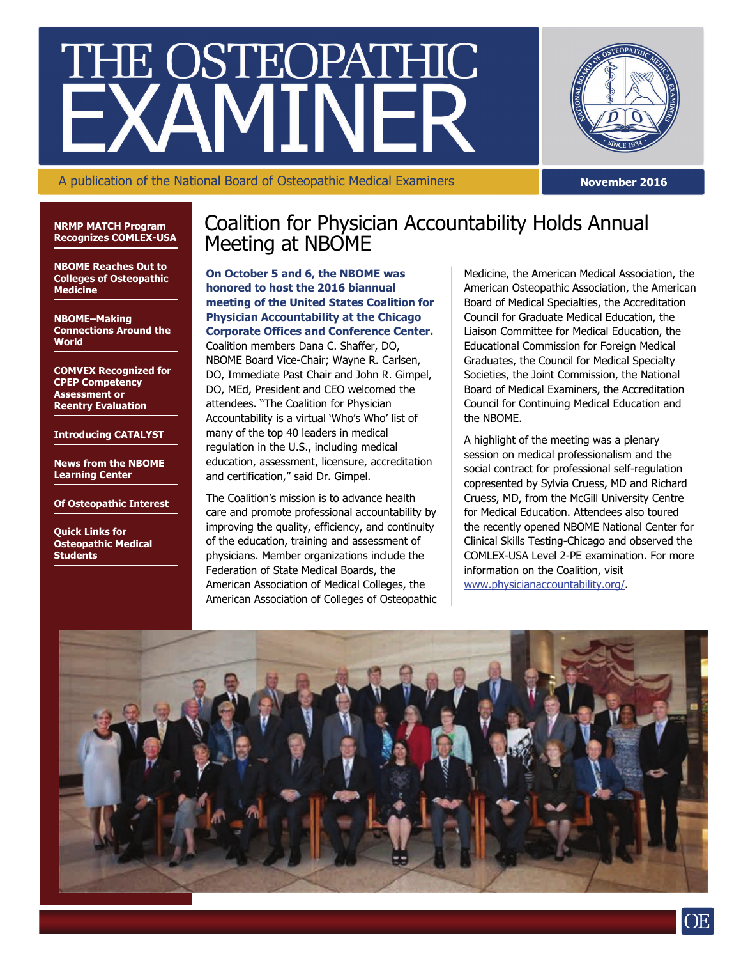# THE OSTEOPATHIC



A publication of the National Board of Osteopathic Medical Examiners

**November 2016** 

**NRMP MATCH Program Recognizes COMLEX-USA** 

**NBOME Reaches Out to Colleges of Osteopathic Medicine** 

**NBOME–Making Connections Around the World** 

**COMVEX Recognized for CPEP Competency Assessment or Reentry Evaluation** 

**Introducing CATALYST** 

**News from the NBOME Learning Center** 

**Of Osteopathic Interest** 

**Quick Links for Osteopathic Medical Students** 

## Coalition for Physician Accountability Holds Annual Meeting at NBOME

**On October 5 and 6, the NBOME was honored to host the 2016 biannual meeting of the United States Coalition for Physician Accountability at the Chicago Corporate Offices and Conference Center.**  Coalition members Dana C. Shaffer, DO, NBOME Board Vice-Chair; Wayne R. Carlsen, DO, Immediate Past Chair and John R. Gimpel, DO, MEd, President and CEO welcomed the attendees. "The Coalition for Physician Accountability is a virtual 'Who's Who' list of many of the top 40 leaders in medical regulation in the U.S., including medical education, assessment, licensure, accreditation and certification," said Dr. Gimpel.

The Coalition's mission is to advance health care and promote professional accountability by improving the quality, efficiency, and continuity of the education, training and assessment of physicians. Member organizations include the Federation of State Medical Boards, the American Association of Medical Colleges, the American Association of Colleges of Osteopathic Medicine, the American Medical Association, the American Osteopathic Association, the American Board of Medical Specialties, the Accreditation Council for Graduate Medical Education, the Liaison Committee for Medical Education, the Educational Commission for Foreign Medical Graduates, the Council for Medical Specialty Societies, the Joint Commission, the National Board of Medical Examiners, the Accreditation Council for Continuing Medical Education and the NBOME.

A highlight of the meeting was a plenary session on medical professionalism and the social contract for professional self-regulation copresented by Sylvia Cruess, MD and Richard Cruess, MD, from the McGill University Centre for Medical Education. Attendees also toured the recently opened NBOME National Center for Clinical Skills Testing-Chicago and observed the COMLEX-USA Level 2-PE examination. For more information on the Coalition, visit [www.physicianaccountability.org/.](http://www.physicianaccountability.org/)

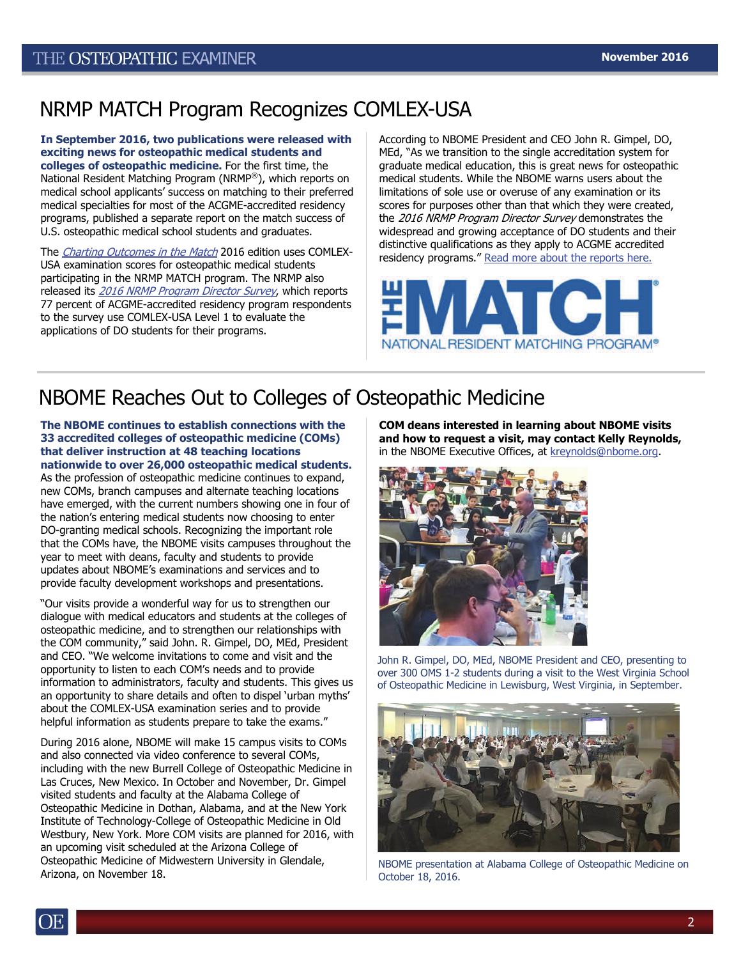# NRMP MATCH Program Recognizes COMLEX-USA

**In September 2016, two publications were released with exciting news for osteopathic medical students and colleges of osteopathic medicine.** For the first time, the National Resident Matching Program (NRMP®), which reports on medical school applicants' success on matching to their preferred medical specialties for most of the ACGME-accredited residency programs, published a separate report on the match success of U.S. osteopathic medical school students and graduates.

The *[Charting Outcomes in the Match](http://www.nrmp.org/wp-content/uploads/2016/09/Charting-Outcomes-US-Osteopathic-2016.pdf)* 2016 edition uses COMLEX-USA examination scores for osteopathic medical students participating in the NRMP MATCH program. The NRMP also released its [2016 NRMP Program Director Survey](http://www.nrmp.org/wp-content/uploads/2016/09/NRMP-2016-Program-Director-Survey.pdf), which reports 77 percent of ACGME-accredited residency program respondents to the survey use COMLEX-USA Level 1 to evaluate the applications of DO students for their programs.

According to NBOME President and CEO John R. Gimpel, DO, MEd, "As we transition to the single accreditation system for graduate medical education, this is great news for osteopathic medical students. While the NBOME warns users about the limitations of sole use or overuse of any examination or its scores for purposes other than that which they were created, the 2016 NRMP Program Director Survey demonstrates the widespread and growing acceptance of DO students and their distinctive qualifications as they apply to ACGME accredited residency programs." [Read more about the reports here.](http://www.prweb.com/releases/2016/09/prweb13692003.htm)



# NBOME Reaches Out to Colleges of Osteopathic Medicine

**The NBOME continues to establish connections with the 33 accredited colleges of osteopathic medicine (COMs) that deliver instruction at 48 teaching locations nationwide to over 26,000 osteopathic medical students.** 

As the profession of osteopathic medicine continues to expand, new COMs, branch campuses and alternate teaching locations have emerged, with the current numbers showing one in four of the nation's entering medical students now choosing to enter DO-granting medical schools. Recognizing the important role that the COMs have, the NBOME visits campuses throughout the year to meet with deans, faculty and students to provide updates about NBOME's examinations and services and to provide faculty development workshops and presentations.

"Our visits provide a wonderful way for us to strengthen our dialogue with medical educators and students at the colleges of osteopathic medicine, and to strengthen our relationships with the COM community," said John. R. Gimpel, DO, MEd, President and CEO. "We welcome invitations to come and visit and the opportunity to listen to each COM's needs and to provide information to administrators, faculty and students. This gives us an opportunity to share details and often to dispel 'urban myths' about the COMLEX-USA examination series and to provide helpful information as students prepare to take the exams."

During 2016 alone, NBOME will make 15 campus visits to COMs and also connected via video conference to several COMs, including with the new Burrell College of Osteopathic Medicine in Las Cruces, New Mexico. In October and November, Dr. Gimpel visited students and faculty at the Alabama College of Osteopathic Medicine in Dothan, Alabama, and at the New York Institute of Technology-College of Osteopathic Medicine in Old Westbury, New York. More COM visits are planned for 2016, with an upcoming visit scheduled at the Arizona College of Osteopathic Medicine of Midwestern University in Glendale, Arizona, on November 18.

**COM deans interested in learning about NBOME visits and how to request a visit, may contact Kelly Reynolds,**  in the NBOME Executive Offices, at [kreynolds@nbome.org](mailto:kreynolds@nbome.org).



John R. Gimpel, DO, MEd, NBOME President and CEO, presenting to over 300 OMS 1-2 students during a visit to the West Virginia School of Osteopathic Medicine in Lewisburg, West Virginia, in September.



NBOME presentation at Alabama College of Osteopathic Medicine on October 18, 2016.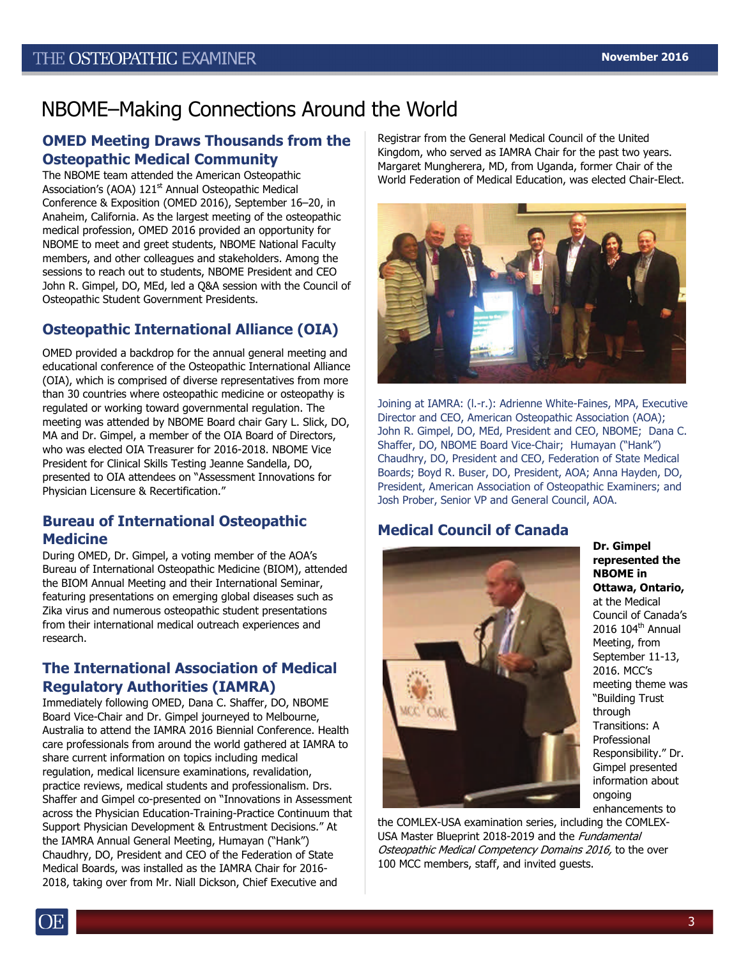# NBOME–Making Connections Around the World

## **OMED Meeting Draws Thousands from the Osteopathic Medical Community**

The NBOME team attended the American Osteopathic Association's (AOA) 121<sup>st</sup> Annual Osteopathic Medical Conference & Exposition (OMED 2016), September 16–20, in Anaheim, California. As the largest meeting of the osteopathic medical profession, OMED 2016 provided an opportunity for NBOME to meet and greet students, NBOME National Faculty members, and other colleagues and stakeholders. Among the sessions to reach out to students, NBOME President and CEO John R. Gimpel, DO, MEd, led a Q&A session with the Council of Osteopathic Student Government Presidents.

## **Osteopathic International Alliance (OIA)**

OMED provided a backdrop for the annual general meeting and educational conference of the Osteopathic International Alliance (OIA), which is comprised of diverse representatives from more than 30 countries where osteopathic medicine or osteopathy is regulated or working toward governmental regulation. The meeting was attended by NBOME Board chair Gary L. Slick, DO, MA and Dr. Gimpel, a member of the OIA Board of Directors, who was elected OIA Treasurer for 2016-2018. NBOME Vice President for Clinical Skills Testing Jeanne Sandella, DO, presented to OIA attendees on "Assessment Innovations for Physician Licensure & Recertification."

## **Bureau of International Osteopathic Medicine**

During OMED, Dr. Gimpel, a voting member of the AOA's Bureau of International Osteopathic Medicine (BIOM), attended the BIOM Annual Meeting and their International Seminar, featuring presentations on emerging global diseases such as Zika virus and numerous osteopathic student presentations from their international medical outreach experiences and research.

## **The International Association of Medical Regulatory Authorities (IAMRA)**

Immediately following OMED, Dana C. Shaffer, DO, NBOME Board Vice-Chair and Dr. Gimpel journeyed to Melbourne, Australia to attend the IAMRA 2016 Biennial Conference. Health care professionals from around the world gathered at IAMRA to share current information on topics including medical regulation, medical licensure examinations, revalidation, practice reviews, medical students and professionalism. Drs. Shaffer and Gimpel co-presented on "Innovations in Assessment across the Physician Education-Training-Practice Continuum that Support Physician Development & Entrustment Decisions." At the IAMRA Annual General Meeting, Humayan ("Hank") Chaudhry, DO, President and CEO of the Federation of State Medical Boards, was installed as the IAMRA Chair for 2016- 2018, taking over from Mr. Niall Dickson, Chief Executive and

Registrar from the General Medical Council of the United Kingdom, who served as IAMRA Chair for the past two years. Margaret Mungherera, MD, from Uganda, former Chair of the World Federation of Medical Education, was elected Chair-Elect.



Joining at IAMRA: (l.-r.): Adrienne White-Faines, MPA, Executive Director and CEO, American Osteopathic Association (AOA); John R. Gimpel, DO, MEd, President and CEO, NBOME; Dana C. Shaffer, DO, NBOME Board Vice-Chair; Humayan ("Hank") Chaudhry, DO, President and CEO, Federation of State Medical Boards; Boyd R. Buser, DO, President, AOA; Anna Hayden, DO, President, American Association of Osteopathic Examiners; and Josh Prober, Senior VP and General Council, AOA.

## **Medical Council of Canada**



**Dr. Gimpel represented the NBOME in Ottawa, Ontario,**  at the Medical Council of Canada's 2016 104<sup>th</sup> Annual Meeting, from September 11-13, 2016. MCC's meeting theme was "Building Trust through Transitions: A Professional Responsibility." Dr. Gimpel presented information about ongoing enhancements to

the COMLEX-USA examination series, including the COMLEX-USA Master Blueprint 2018-2019 and the Fundamental Osteopathic Medical Competency Domains 2016, to the over 100 MCC members, staff, and invited guests.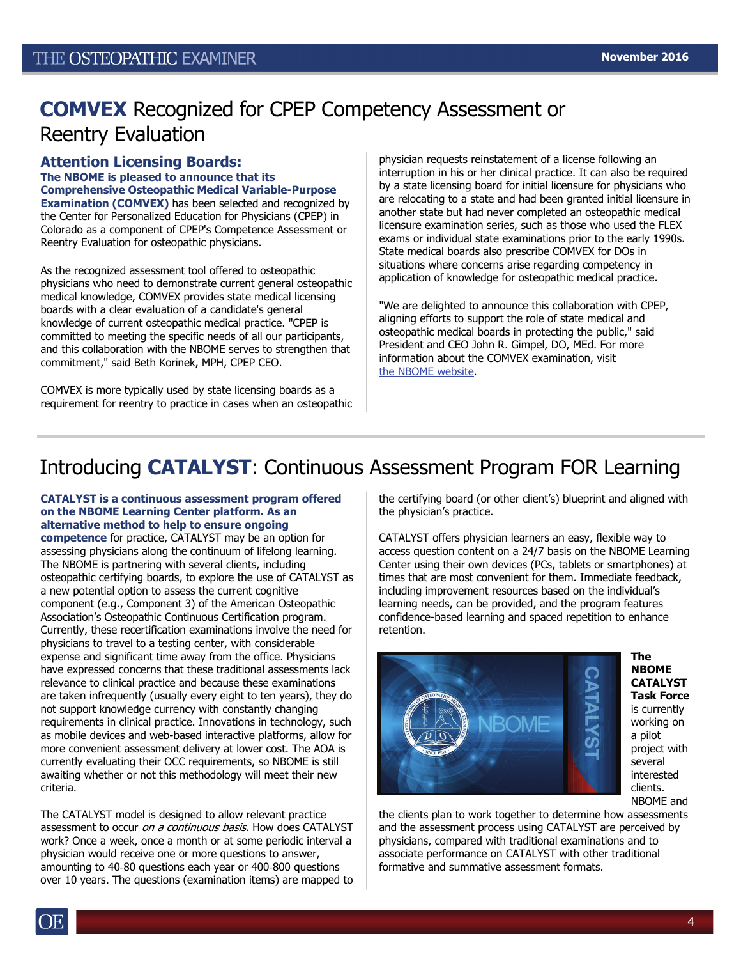# **COMVEX** Recognized for CPEP Competency Assessment or Reentry Evaluation

#### **Attention Licensing Boards: The NBOME is pleased to announce that its Comprehensive Osteopathic Medical Variable-Purpose Examination (COMVEX)** has been selected and recognized by the Center for Personalized Education for Physicians (CPEP) in Colorado as a component of CPEP's Competence Assessment or Reentry Evaluation for osteopathic physicians.

As the recognized assessment tool offered to osteopathic physicians who need to demonstrate current general osteopathic medical knowledge, COMVEX provides state medical licensing boards with a clear evaluation of a candidate's general knowledge of current osteopathic medical practice. "CPEP is committed to meeting the specific needs of all our participants, and this collaboration with the NBOME serves to strengthen that commitment," said Beth Korinek, MPH, CPEP CEO.

COMVEX is more typically used by state licensing boards as a requirement for reentry to practice in cases when an osteopathic physician requests reinstatement of a license following an interruption in his or her clinical practice. It can also be required by a state licensing board for initial licensure for physicians who are relocating to a state and had been granted initial licensure in another state but had never completed an osteopathic medical licensure examination series, such as those who used the FLEX exams or individual state examinations prior to the early 1990s. State medical boards also prescribe COMVEX for DOs in situations where concerns arise regarding competency in application of knowledge for osteopathic medical practice.

"We are delighted to announce this collaboration with CPEP, aligning efforts to support the role of state medical and osteopathic medical boards in protecting the public," said President and CEO John R. Gimpel, DO, MEd. For more information about the COMVEX examination, visit [the NBOME website.](http://www.nbome.org/comvex.asp?m=can)

# Introducing **CATALYST**: Continuous Assessment Program FOR Learning

#### **CATALYST is a continuous assessment program offered on the NBOME Learning Center platform. As an alternative method to help to ensure ongoing**

**competence** for practice, CATALYST may be an option for assessing physicians along the continuum of lifelong learning. The NBOME is partnering with several clients, including osteopathic certifying boards, to explore the use of CATALYST as a new potential option to assess the current cognitive component (e.g., Component 3) of the American Osteopathic Association's Osteopathic Continuous Certification program. Currently, these recertification examinations involve the need for physicians to travel to a testing center, with considerable expense and significant time away from the office. Physicians have expressed concerns that these traditional assessments lack relevance to clinical practice and because these examinations are taken infrequently (usually every eight to ten years), they do not support knowledge currency with constantly changing requirements in clinical practice. Innovations in technology, such as mobile devices and web-based interactive platforms, allow for more convenient assessment delivery at lower cost. The AOA is currently evaluating their OCC requirements, so NBOME is still awaiting whether or not this methodology will meet their new criteria.

The CATALYST model is designed to allow relevant practice assessment to occur on a continuous basis. How does CATALYST work? Once a week, once a month or at some periodic interval a physician would receive one or more questions to answer, amounting to 40‐80 questions each year or 400‐800 questions over 10 years. The questions (examination items) are mapped to the certifying board (or other client's) blueprint and aligned with the physician's practice.

CATALYST offers physician learners an easy, flexible way to access question content on a 24/7 basis on the NBOME Learning Center using their own devices (PCs, tablets or smartphones) at times that are most convenient for them. Immediate feedback, including improvement resources based on the individual's learning needs, can be provided, and the program features confidence-based learning and spaced repetition to enhance retention.



**The NBOME CATALYST Task Force**  is currently working on a pilot project with several interested clients. NBOME and

the clients plan to work together to determine how assessments and the assessment process using CATALYST are perceived by physicians, compared with traditional examinations and to associate performance on CATALYST with other traditional formative and summative assessment formats.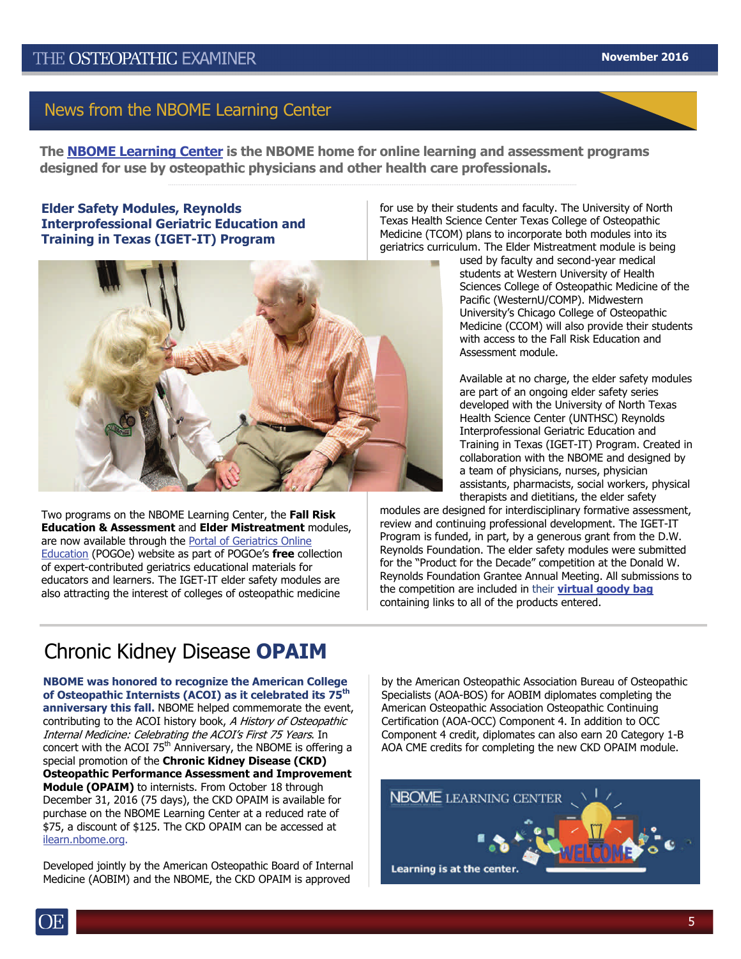**The [NBOME Learning Center](https://ilearn.nbome.org/) is the NBOME home for online learning and assessment programs designed for use by osteopathic physicians and other health care professionals.**

### **Elder Safety Modules, Reynolds Interprofessional Geriatric Education and Training in Texas (IGET-IT) Program**

for use by their students and faculty. The University of North Texas Health Science Center Texas College of Osteopathic Medicine (TCOM) plans to incorporate both modules into its geriatrics curriculum. The Elder Mistreatment module is being



Two programs on the NBOME Learning Center, the **Fall Risk Education & Assessment** and **Elder Mistreatment** modules, are now available through the [Portal of Geriatrics Online](https://www.pogoe.org/)  [Education](https://www.pogoe.org/) (POGOe) website as part of POGOe's **free** collection of expert-contributed geriatrics educational materials for educators and learners. The IGET-IT elder safety modules are also attracting the interest of colleges of osteopathic medicine

used by faculty and second-year medical students at Western University of Health Sciences College of Osteopathic Medicine of the Pacific (WesternU/COMP). Midwestern University's Chicago College of Osteopathic Medicine (CCOM) will also provide their students with access to the Fall Risk Education and Assessment module.

Available at no charge, the elder safety modules are part of an ongoing elder safety series developed with the University of North Texas Health Science Center (UNTHSC) Reynolds Interprofessional Geriatric Education and Training in Texas (IGET-IT) Program. Created in collaboration with the NBOME and designed by a team of physicians, nurses, physician assistants, pharmacists, social workers, physical therapists and dietitians, the elder safety

modules are designed for interdisciplinary formative assessment, review and continuing professional development. The IGET-IT Program is funded, in part, by a generous grant from the D.W. Reynolds Foundation. The elder safety modules were submitted for the "Product for the Decade" competition at the Donald W. Reynolds Foundation Grantee Annual Meeting. All submissions to the competition are included in their **[virtual goody bag](https://pogoe.org/GoodyBag2016)**  containing links to all of the products entered.

# Chronic Kidney Disease **OPAIM**

**NBOME was honored to recognize the American College of Osteopathic Internists (ACOI) as it celebrated its 75th anniversary this fall.** NBOME helped commemorate the event, contributing to the ACOI history book, A History of Osteopathic Internal Medicine: Celebrating the ACOI's First 75 Years. In concert with the ACOI  $75<sup>th</sup>$  Anniversary, the NBOME is offering a special promotion of the **Chronic Kidney Disease (CKD) Osteopathic Performance Assessment and Improvement Module (OPAIM)** to internists. From October 18 through December 31, 2016 (75 days), the CKD OPAIM is available for purchase on the NBOME Learning Center at a reduced rate of \$75, a discount of \$125. The CKD OPAIM can be accessed at [ilearn.nbome.org.](https://ilearn.nbome.org/)

Developed jointly by the American Osteopathic Board of Internal Medicine (AOBIM) and the NBOME, the CKD OPAIM is approved

by the American Osteopathic Association Bureau of Osteopathic Specialists (AOA-BOS) for AOBIM diplomates completing the American Osteopathic Association Osteopathic Continuing Certification (AOA-OCC) Component 4. In addition to OCC Component 4 credit, diplomates can also earn 20 Category 1-B AOA CME credits for completing the new CKD OPAIM module.